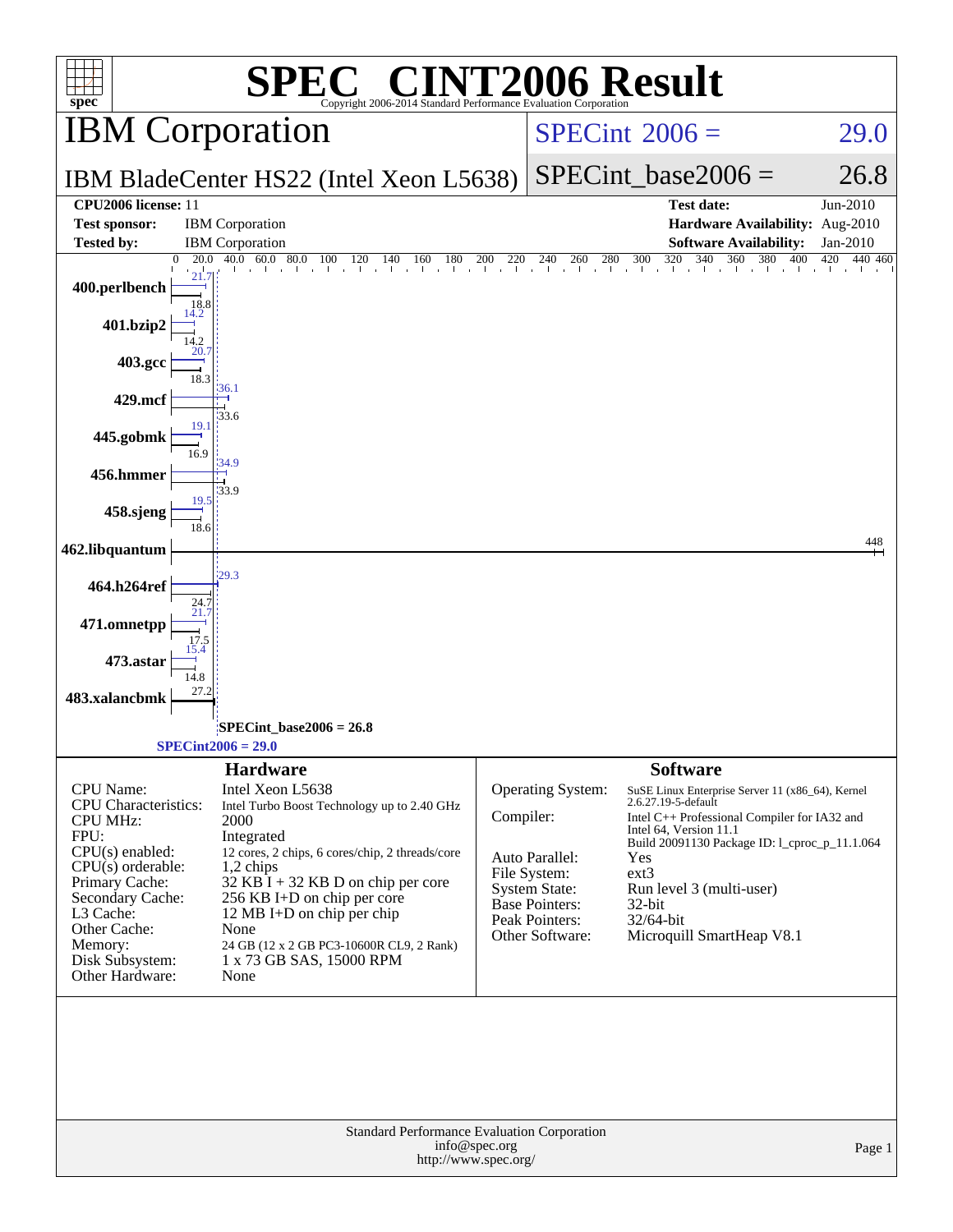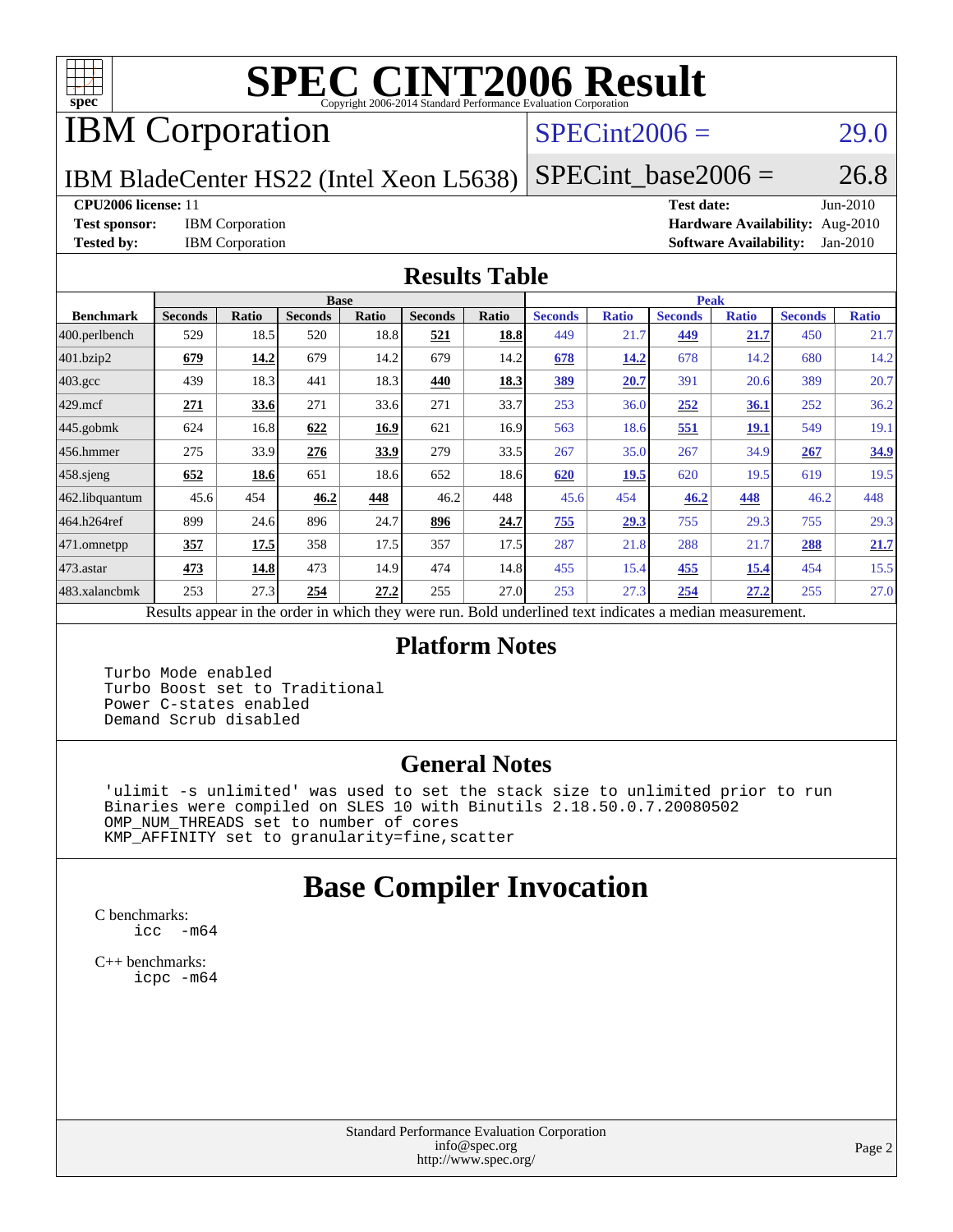

# **[SPEC CINT2006 Result](http://www.spec.org/auto/cpu2006/Docs/result-fields.html#SPECCINT2006Result)**

## IBM Corporation

#### $SPECint2006 = 29.0$  $SPECint2006 = 29.0$

IBM BladeCenter HS22 (Intel Xeon L5638)

 $SPECTnt\_base2006 = 26.8$ 

#### **[CPU2006 license:](http://www.spec.org/auto/cpu2006/Docs/result-fields.html#CPU2006license)** 11 **[Test date:](http://www.spec.org/auto/cpu2006/Docs/result-fields.html#Testdate)** Jun-2010

**[Test sponsor:](http://www.spec.org/auto/cpu2006/Docs/result-fields.html#Testsponsor)** IBM Corporation **[Hardware Availability:](http://www.spec.org/auto/cpu2006/Docs/result-fields.html#HardwareAvailability)** Aug-2010 **[Tested by:](http://www.spec.org/auto/cpu2006/Docs/result-fields.html#Testedby)** IBM Corporation **[Software Availability:](http://www.spec.org/auto/cpu2006/Docs/result-fields.html#SoftwareAvailability)** Jan-2010

#### **[Results Table](http://www.spec.org/auto/cpu2006/Docs/result-fields.html#ResultsTable)**

|                                                                                                          |                |              | <b>Base</b>    |       |                |       |                |              | <b>Peak</b>    |              |                |              |
|----------------------------------------------------------------------------------------------------------|----------------|--------------|----------------|-------|----------------|-------|----------------|--------------|----------------|--------------|----------------|--------------|
| <b>Benchmark</b>                                                                                         | <b>Seconds</b> | <b>Ratio</b> | <b>Seconds</b> | Ratio | <b>Seconds</b> | Ratio | <b>Seconds</b> | <b>Ratio</b> | <b>Seconds</b> | <b>Ratio</b> | <b>Seconds</b> | <b>Ratio</b> |
| $ 400$ .perlbench                                                                                        | 529            | 18.5         | 520            | 18.8  | 521            | 18.8  | 449            | 21.7         | 449            | 21.7         | 450            | 21.7         |
| 401.bzip2                                                                                                | 679            | 14.2         | 679            | 14.2  | 679            | 14.2  | 678            | 14.2         | 678            | 14.2         | 680            | 14.2         |
| $403.\mathrm{gcc}$                                                                                       | 439            | 18.3         | 441            | 18.3  | 440            | 18.3  | 389            | 20.7         | 391            | 20.6         | 389            | 20.7         |
| $429$ mcf                                                                                                | 271            | 33.6         | 271            | 33.6  | 271            | 33.7  | 253            | 36.0         | 252            | 36.1         | 252            | 36.2         |
| $445$ .gobmk                                                                                             | 624            | 16.8         | 622            | 16.9  | 621            | 16.9  | 563            | 18.6         | 551            | <u>19.1</u>  | 549            | 19.1         |
| $ 456$ .hmmer                                                                                            | 275            | 33.9         | 276            | 33.9  | 279            | 33.5  | 267            | 35.0         | 267            | 34.9         | 267            | 34.9         |
| $458$ .sjeng                                                                                             | 652            | 18.6         | 651            | 18.6  | 652            | 18.6  | 620            | <b>19.5</b>  | 620            | 19.5         | 619            | 19.5         |
| 462.libquantum                                                                                           | 45.6           | 454          | 46.2           | 448   | 46.2           | 448   | 45.6           | 454          | 46.2           | 448          | 46.2           | 448          |
| 464.h264ref                                                                                              | 899            | 24.6         | 896            | 24.7  | 896            | 24.7  | 755            | 29.3         | 755            | 29.3         | 755            | 29.3         |
| $ 471$ .omnetpp                                                                                          | 357            | 17.5         | 358            | 17.5  | 357            | 17.5  | 287            | 21.8         | 288            | 21.7         | 288            | 21.7         |
| $473$ . astar                                                                                            | 473            | 14.8         | 473            | 14.9  | 474            | 14.8  | 455            | 15.4         | 455            | 15.4         | 454            | 15.5         |
| 483.xalancbmk                                                                                            | 253            | 27.3         | 254            | 27.2  | 255            | 27.0  | 253            | 27.3         | 254            | 27.2         | 255            | 27.0         |
| Results appear in the order in which they were run. Bold underlined text indicates a median measurement. |                |              |                |       |                |       |                |              |                |              |                |              |

#### **[Platform Notes](http://www.spec.org/auto/cpu2006/Docs/result-fields.html#PlatformNotes)**

 Turbo Mode enabled Turbo Boost set to Traditional Power C-states enabled Demand Scrub disabled

#### **[General Notes](http://www.spec.org/auto/cpu2006/Docs/result-fields.html#GeneralNotes)**

 'ulimit -s unlimited' was used to set the stack size to unlimited prior to run Binaries were compiled on SLES 10 with Binutils 2.18.50.0.7.20080502 OMP\_NUM\_THREADS set to number of cores KMP\_AFFINITY set to granularity=fine,scatter

#### **[Base Compiler Invocation](http://www.spec.org/auto/cpu2006/Docs/result-fields.html#BaseCompilerInvocation)**

[C benchmarks](http://www.spec.org/auto/cpu2006/Docs/result-fields.html#Cbenchmarks): [icc -m64](http://www.spec.org/cpu2006/results/res2010q3/cpu2006-20100817-13009.flags.html#user_CCbase_intel_icc_64bit_f346026e86af2a669e726fe758c88044)

[C++ benchmarks:](http://www.spec.org/auto/cpu2006/Docs/result-fields.html#CXXbenchmarks) [icpc -m64](http://www.spec.org/cpu2006/results/res2010q3/cpu2006-20100817-13009.flags.html#user_CXXbase_intel_icpc_64bit_fc66a5337ce925472a5c54ad6a0de310)

> Standard Performance Evaluation Corporation [info@spec.org](mailto:info@spec.org) <http://www.spec.org/>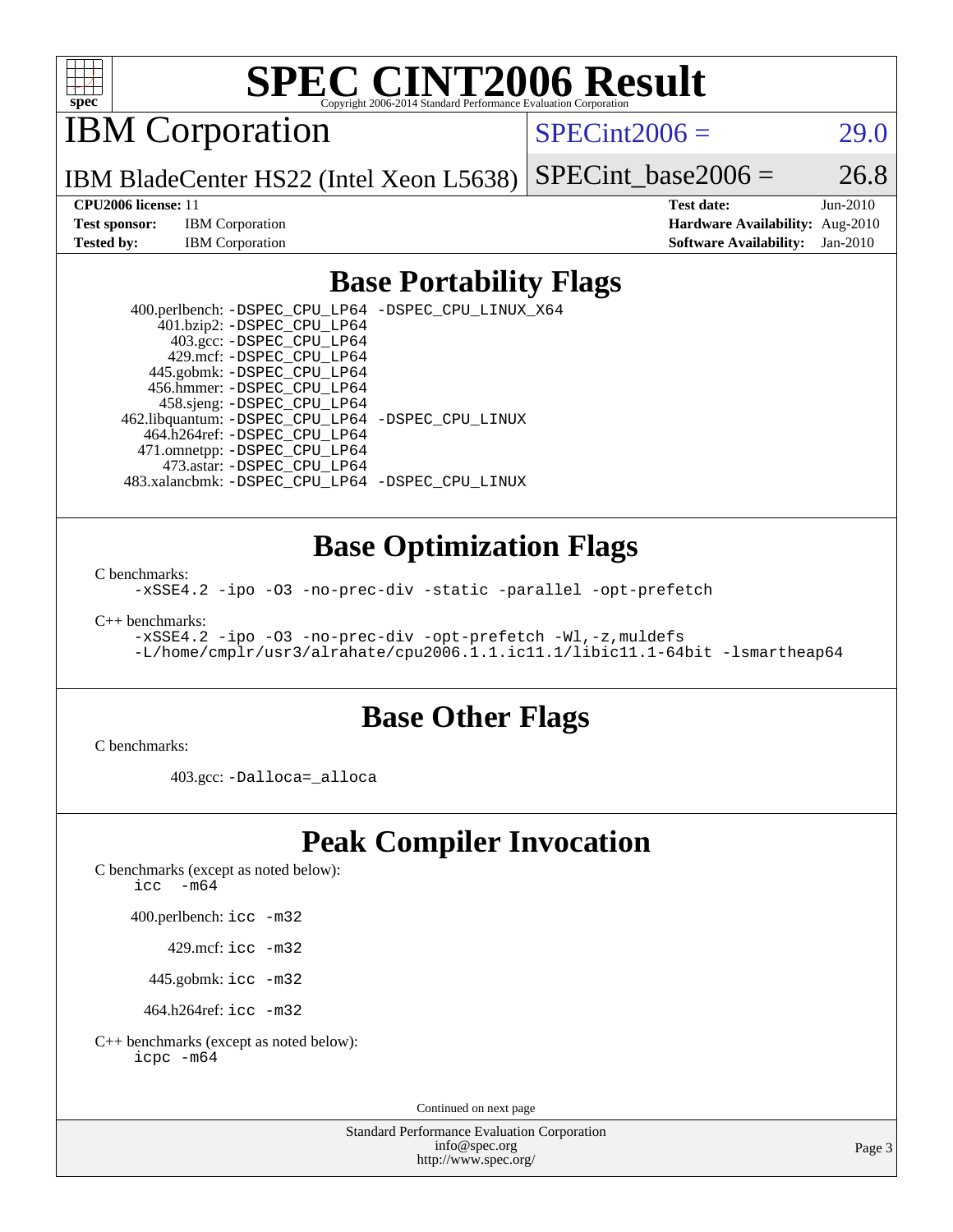

## **[SPEC CINT2006 Result](http://www.spec.org/auto/cpu2006/Docs/result-fields.html#SPECCINT2006Result)**

IBM Corporation

 $SPECint2006 = 29.0$  $SPECint2006 = 29.0$ 

IBM BladeCenter HS22 (Intel Xeon L5638) SPECint base2006 =  $26.8$ 

**[CPU2006 license:](http://www.spec.org/auto/cpu2006/Docs/result-fields.html#CPU2006license)** 11 **[Test date:](http://www.spec.org/auto/cpu2006/Docs/result-fields.html#Testdate)** Jun-2010 **[Test sponsor:](http://www.spec.org/auto/cpu2006/Docs/result-fields.html#Testsponsor)** IBM Corporation **[Hardware Availability:](http://www.spec.org/auto/cpu2006/Docs/result-fields.html#HardwareAvailability)** Aug-2010 **[Tested by:](http://www.spec.org/auto/cpu2006/Docs/result-fields.html#Testedby)** IBM Corporation **[Software Availability:](http://www.spec.org/auto/cpu2006/Docs/result-fields.html#SoftwareAvailability)** Jan-2010

#### **[Base Portability Flags](http://www.spec.org/auto/cpu2006/Docs/result-fields.html#BasePortabilityFlags)**

 400.perlbench: [-DSPEC\\_CPU\\_LP64](http://www.spec.org/cpu2006/results/res2010q3/cpu2006-20100817-13009.flags.html#b400.perlbench_basePORTABILITY_DSPEC_CPU_LP64) [-DSPEC\\_CPU\\_LINUX\\_X64](http://www.spec.org/cpu2006/results/res2010q3/cpu2006-20100817-13009.flags.html#b400.perlbench_baseCPORTABILITY_DSPEC_CPU_LINUX_X64) 401.bzip2: [-DSPEC\\_CPU\\_LP64](http://www.spec.org/cpu2006/results/res2010q3/cpu2006-20100817-13009.flags.html#suite_basePORTABILITY401_bzip2_DSPEC_CPU_LP64) 403.gcc: [-DSPEC\\_CPU\\_LP64](http://www.spec.org/cpu2006/results/res2010q3/cpu2006-20100817-13009.flags.html#suite_basePORTABILITY403_gcc_DSPEC_CPU_LP64) 429.mcf: [-DSPEC\\_CPU\\_LP64](http://www.spec.org/cpu2006/results/res2010q3/cpu2006-20100817-13009.flags.html#suite_basePORTABILITY429_mcf_DSPEC_CPU_LP64) 445.gobmk: [-DSPEC\\_CPU\\_LP64](http://www.spec.org/cpu2006/results/res2010q3/cpu2006-20100817-13009.flags.html#suite_basePORTABILITY445_gobmk_DSPEC_CPU_LP64) 456.hmmer: [-DSPEC\\_CPU\\_LP64](http://www.spec.org/cpu2006/results/res2010q3/cpu2006-20100817-13009.flags.html#suite_basePORTABILITY456_hmmer_DSPEC_CPU_LP64) 458.sjeng: [-DSPEC\\_CPU\\_LP64](http://www.spec.org/cpu2006/results/res2010q3/cpu2006-20100817-13009.flags.html#suite_basePORTABILITY458_sjeng_DSPEC_CPU_LP64) 462.libquantum: [-DSPEC\\_CPU\\_LP64](http://www.spec.org/cpu2006/results/res2010q3/cpu2006-20100817-13009.flags.html#suite_basePORTABILITY462_libquantum_DSPEC_CPU_LP64) [-DSPEC\\_CPU\\_LINUX](http://www.spec.org/cpu2006/results/res2010q3/cpu2006-20100817-13009.flags.html#b462.libquantum_baseCPORTABILITY_DSPEC_CPU_LINUX) 464.h264ref: [-DSPEC\\_CPU\\_LP64](http://www.spec.org/cpu2006/results/res2010q3/cpu2006-20100817-13009.flags.html#suite_basePORTABILITY464_h264ref_DSPEC_CPU_LP64) 471.omnetpp: [-DSPEC\\_CPU\\_LP64](http://www.spec.org/cpu2006/results/res2010q3/cpu2006-20100817-13009.flags.html#suite_basePORTABILITY471_omnetpp_DSPEC_CPU_LP64) 473.astar: [-DSPEC\\_CPU\\_LP64](http://www.spec.org/cpu2006/results/res2010q3/cpu2006-20100817-13009.flags.html#suite_basePORTABILITY473_astar_DSPEC_CPU_LP64) 483.xalancbmk: [-DSPEC\\_CPU\\_LP64](http://www.spec.org/cpu2006/results/res2010q3/cpu2006-20100817-13009.flags.html#suite_basePORTABILITY483_xalancbmk_DSPEC_CPU_LP64) [-DSPEC\\_CPU\\_LINUX](http://www.spec.org/cpu2006/results/res2010q3/cpu2006-20100817-13009.flags.html#b483.xalancbmk_baseCXXPORTABILITY_DSPEC_CPU_LINUX)

#### **[Base Optimization Flags](http://www.spec.org/auto/cpu2006/Docs/result-fields.html#BaseOptimizationFlags)**

[C benchmarks](http://www.spec.org/auto/cpu2006/Docs/result-fields.html#Cbenchmarks):

[-xSSE4.2](http://www.spec.org/cpu2006/results/res2010q3/cpu2006-20100817-13009.flags.html#user_CCbase_f-xSSE42_f91528193cf0b216347adb8b939d4107) [-ipo](http://www.spec.org/cpu2006/results/res2010q3/cpu2006-20100817-13009.flags.html#user_CCbase_f-ipo) [-O3](http://www.spec.org/cpu2006/results/res2010q3/cpu2006-20100817-13009.flags.html#user_CCbase_f-O3) [-no-prec-div](http://www.spec.org/cpu2006/results/res2010q3/cpu2006-20100817-13009.flags.html#user_CCbase_f-no-prec-div) [-static](http://www.spec.org/cpu2006/results/res2010q3/cpu2006-20100817-13009.flags.html#user_CCbase_f-static) [-parallel](http://www.spec.org/cpu2006/results/res2010q3/cpu2006-20100817-13009.flags.html#user_CCbase_f-parallel) [-opt-prefetch](http://www.spec.org/cpu2006/results/res2010q3/cpu2006-20100817-13009.flags.html#user_CCbase_f-opt-prefetch)

[C++ benchmarks:](http://www.spec.org/auto/cpu2006/Docs/result-fields.html#CXXbenchmarks)

```
-xSSE4.2 -ipo -O3 -no-prec-div -opt-prefetch -Wl,-z,muldefs
-L/home/cmplr/usr3/alrahate/cpu2006.1.1.ic11.1/libic11.1-64bit -lsmartheap64
```
#### **[Base Other Flags](http://www.spec.org/auto/cpu2006/Docs/result-fields.html#BaseOtherFlags)**

[C benchmarks](http://www.spec.org/auto/cpu2006/Docs/result-fields.html#Cbenchmarks):

403.gcc: [-Dalloca=\\_alloca](http://www.spec.org/cpu2006/results/res2010q3/cpu2006-20100817-13009.flags.html#b403.gcc_baseEXTRA_CFLAGS_Dalloca_be3056838c12de2578596ca5467af7f3)

#### **[Peak Compiler Invocation](http://www.spec.org/auto/cpu2006/Docs/result-fields.html#PeakCompilerInvocation)**

[C benchmarks \(except as noted below\)](http://www.spec.org/auto/cpu2006/Docs/result-fields.html#Cbenchmarksexceptasnotedbelow):

icc  $-m64$ 

400.perlbench: [icc -m32](http://www.spec.org/cpu2006/results/res2010q3/cpu2006-20100817-13009.flags.html#user_peakCCLD400_perlbench_intel_icc_32bit_a6a621f8d50482236b970c6ac5f55f93)

429.mcf: [icc -m32](http://www.spec.org/cpu2006/results/res2010q3/cpu2006-20100817-13009.flags.html#user_peakCCLD429_mcf_intel_icc_32bit_a6a621f8d50482236b970c6ac5f55f93)

445.gobmk: [icc -m32](http://www.spec.org/cpu2006/results/res2010q3/cpu2006-20100817-13009.flags.html#user_peakCCLD445_gobmk_intel_icc_32bit_a6a621f8d50482236b970c6ac5f55f93)

464.h264ref: [icc -m32](http://www.spec.org/cpu2006/results/res2010q3/cpu2006-20100817-13009.flags.html#user_peakCCLD464_h264ref_intel_icc_32bit_a6a621f8d50482236b970c6ac5f55f93)

[C++ benchmarks \(except as noted below\):](http://www.spec.org/auto/cpu2006/Docs/result-fields.html#CXXbenchmarksexceptasnotedbelow) [icpc -m64](http://www.spec.org/cpu2006/results/res2010q3/cpu2006-20100817-13009.flags.html#user_CXXpeak_intel_icpc_64bit_fc66a5337ce925472a5c54ad6a0de310)

Continued on next page

Standard Performance Evaluation Corporation [info@spec.org](mailto:info@spec.org) <http://www.spec.org/>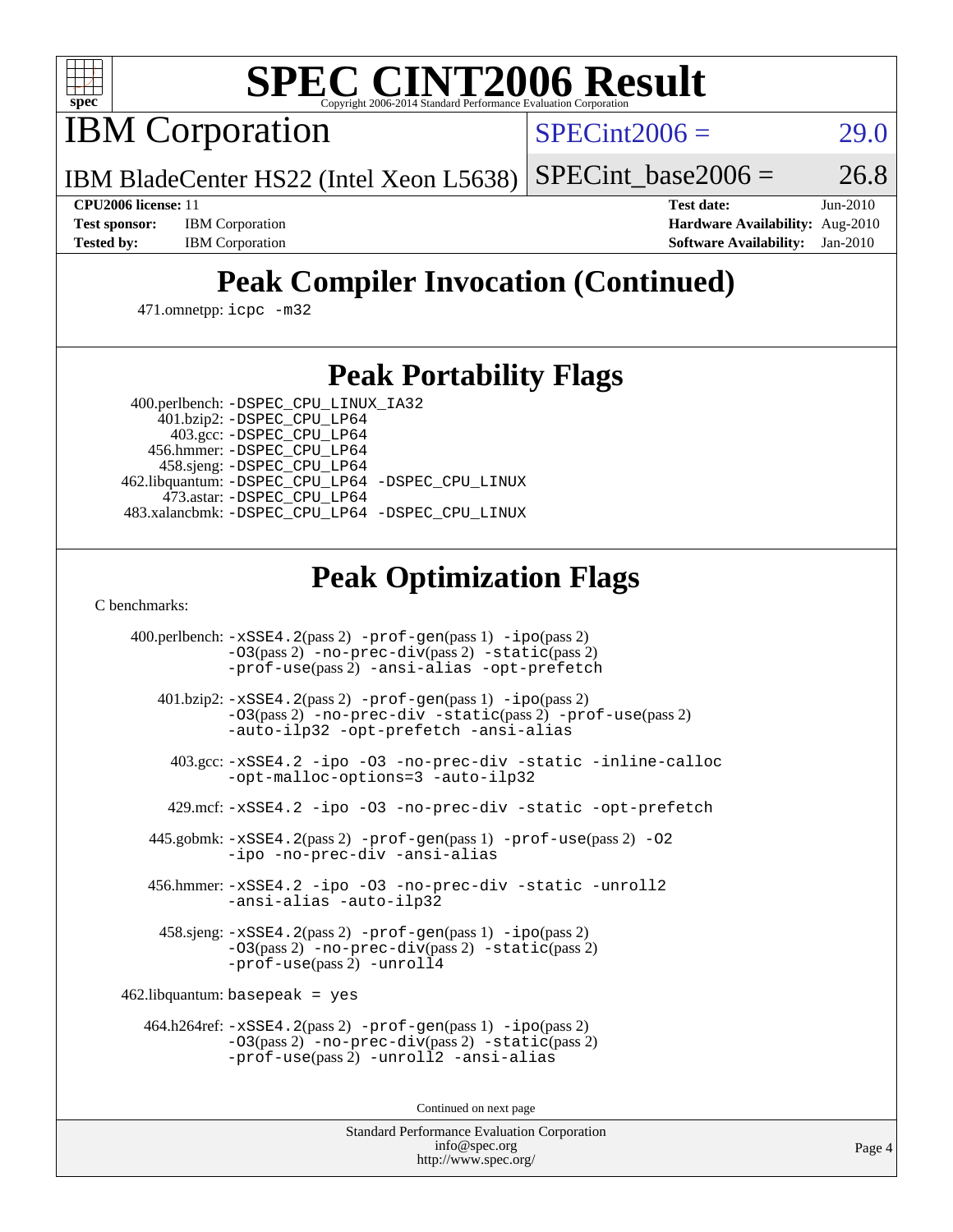

## **[SPEC CINT2006 Result](http://www.spec.org/auto/cpu2006/Docs/result-fields.html#SPECCINT2006Result)**

IBM Corporation

 $SPECint2006 = 29.0$  $SPECint2006 = 29.0$ 

IBM BladeCenter HS22 (Intel Xeon L5638) SPECint base2006 =  $26.8$ 

**[Test sponsor:](http://www.spec.org/auto/cpu2006/Docs/result-fields.html#Testsponsor)** IBM Corporation **[Hardware Availability:](http://www.spec.org/auto/cpu2006/Docs/result-fields.html#HardwareAvailability)** Aug-2010

**[CPU2006 license:](http://www.spec.org/auto/cpu2006/Docs/result-fields.html#CPU2006license)** 11 **[Test date:](http://www.spec.org/auto/cpu2006/Docs/result-fields.html#Testdate)** Jun-2010 **[Tested by:](http://www.spec.org/auto/cpu2006/Docs/result-fields.html#Testedby)** IBM Corporation **[Software Availability:](http://www.spec.org/auto/cpu2006/Docs/result-fields.html#SoftwareAvailability)** Jan-2010

### **[Peak Compiler Invocation \(Continued\)](http://www.spec.org/auto/cpu2006/Docs/result-fields.html#PeakCompilerInvocation)**

471.omnetpp: [icpc -m32](http://www.spec.org/cpu2006/results/res2010q3/cpu2006-20100817-13009.flags.html#user_peakCXXLD471_omnetpp_intel_icpc_32bit_4e5a5ef1a53fd332b3c49e69c3330699)

#### **[Peak Portability Flags](http://www.spec.org/auto/cpu2006/Docs/result-fields.html#PeakPortabilityFlags)**

 400.perlbench: [-DSPEC\\_CPU\\_LINUX\\_IA32](http://www.spec.org/cpu2006/results/res2010q3/cpu2006-20100817-13009.flags.html#b400.perlbench_peakCPORTABILITY_DSPEC_CPU_LINUX_IA32) 401.bzip2: [-DSPEC\\_CPU\\_LP64](http://www.spec.org/cpu2006/results/res2010q3/cpu2006-20100817-13009.flags.html#suite_peakPORTABILITY401_bzip2_DSPEC_CPU_LP64)

 403.gcc: [-DSPEC\\_CPU\\_LP64](http://www.spec.org/cpu2006/results/res2010q3/cpu2006-20100817-13009.flags.html#suite_peakPORTABILITY403_gcc_DSPEC_CPU_LP64) 456.hmmer: [-DSPEC\\_CPU\\_LP64](http://www.spec.org/cpu2006/results/res2010q3/cpu2006-20100817-13009.flags.html#suite_peakPORTABILITY456_hmmer_DSPEC_CPU_LP64) 458.sjeng: [-DSPEC\\_CPU\\_LP64](http://www.spec.org/cpu2006/results/res2010q3/cpu2006-20100817-13009.flags.html#suite_peakPORTABILITY458_sjeng_DSPEC_CPU_LP64) 462.libquantum: [-DSPEC\\_CPU\\_LP64](http://www.spec.org/cpu2006/results/res2010q3/cpu2006-20100817-13009.flags.html#suite_peakPORTABILITY462_libquantum_DSPEC_CPU_LP64) [-DSPEC\\_CPU\\_LINUX](http://www.spec.org/cpu2006/results/res2010q3/cpu2006-20100817-13009.flags.html#b462.libquantum_peakCPORTABILITY_DSPEC_CPU_LINUX) 473.astar: [-DSPEC\\_CPU\\_LP64](http://www.spec.org/cpu2006/results/res2010q3/cpu2006-20100817-13009.flags.html#suite_peakPORTABILITY473_astar_DSPEC_CPU_LP64) 483.xalancbmk: [-DSPEC\\_CPU\\_LP64](http://www.spec.org/cpu2006/results/res2010q3/cpu2006-20100817-13009.flags.html#suite_peakPORTABILITY483_xalancbmk_DSPEC_CPU_LP64) [-DSPEC\\_CPU\\_LINUX](http://www.spec.org/cpu2006/results/res2010q3/cpu2006-20100817-13009.flags.html#b483.xalancbmk_peakCXXPORTABILITY_DSPEC_CPU_LINUX)

### **[Peak Optimization Flags](http://www.spec.org/auto/cpu2006/Docs/result-fields.html#PeakOptimizationFlags)**

[C benchmarks](http://www.spec.org/auto/cpu2006/Docs/result-fields.html#Cbenchmarks):

 400.perlbench: [-xSSE4.2](http://www.spec.org/cpu2006/results/res2010q3/cpu2006-20100817-13009.flags.html#user_peakPASS2_CFLAGSPASS2_LDCFLAGS400_perlbench_f-xSSE42_f91528193cf0b216347adb8b939d4107)(pass 2) [-prof-gen](http://www.spec.org/cpu2006/results/res2010q3/cpu2006-20100817-13009.flags.html#user_peakPASS1_CFLAGSPASS1_LDCFLAGS400_perlbench_prof_gen_e43856698f6ca7b7e442dfd80e94a8fc)(pass 1) [-ipo](http://www.spec.org/cpu2006/results/res2010q3/cpu2006-20100817-13009.flags.html#user_peakPASS2_CFLAGSPASS2_LDCFLAGS400_perlbench_f-ipo)(pass 2) [-O3](http://www.spec.org/cpu2006/results/res2010q3/cpu2006-20100817-13009.flags.html#user_peakPASS2_CFLAGSPASS2_LDCFLAGS400_perlbench_f-O3)(pass 2) [-no-prec-div](http://www.spec.org/cpu2006/results/res2010q3/cpu2006-20100817-13009.flags.html#user_peakPASS2_CFLAGSPASS2_LDCFLAGS400_perlbench_f-no-prec-div)(pass 2) [-static](http://www.spec.org/cpu2006/results/res2010q3/cpu2006-20100817-13009.flags.html#user_peakPASS2_CFLAGSPASS2_LDCFLAGS400_perlbench_f-static)(pass 2) [-prof-use](http://www.spec.org/cpu2006/results/res2010q3/cpu2006-20100817-13009.flags.html#user_peakPASS2_CFLAGSPASS2_LDCFLAGS400_perlbench_prof_use_bccf7792157ff70d64e32fe3e1250b55)(pass 2) [-ansi-alias](http://www.spec.org/cpu2006/results/res2010q3/cpu2006-20100817-13009.flags.html#user_peakCOPTIMIZE400_perlbench_f-ansi-alias) [-opt-prefetch](http://www.spec.org/cpu2006/results/res2010q3/cpu2006-20100817-13009.flags.html#user_peakCOPTIMIZE400_perlbench_f-opt-prefetch) 401.bzip2: [-xSSE4.2](http://www.spec.org/cpu2006/results/res2010q3/cpu2006-20100817-13009.flags.html#user_peakPASS2_CFLAGSPASS2_LDCFLAGS401_bzip2_f-xSSE42_f91528193cf0b216347adb8b939d4107)(pass 2) [-prof-gen](http://www.spec.org/cpu2006/results/res2010q3/cpu2006-20100817-13009.flags.html#user_peakPASS1_CFLAGSPASS1_LDCFLAGS401_bzip2_prof_gen_e43856698f6ca7b7e442dfd80e94a8fc)(pass 1) [-ipo](http://www.spec.org/cpu2006/results/res2010q3/cpu2006-20100817-13009.flags.html#user_peakPASS2_CFLAGSPASS2_LDCFLAGS401_bzip2_f-ipo)(pass 2) [-O3](http://www.spec.org/cpu2006/results/res2010q3/cpu2006-20100817-13009.flags.html#user_peakPASS2_CFLAGSPASS2_LDCFLAGS401_bzip2_f-O3)(pass 2) [-no-prec-div](http://www.spec.org/cpu2006/results/res2010q3/cpu2006-20100817-13009.flags.html#user_peakCOPTIMIZEPASS2_CFLAGSPASS2_LDCFLAGS401_bzip2_f-no-prec-div) [-static](http://www.spec.org/cpu2006/results/res2010q3/cpu2006-20100817-13009.flags.html#user_peakPASS2_CFLAGSPASS2_LDCFLAGS401_bzip2_f-static)(pass 2) [-prof-use](http://www.spec.org/cpu2006/results/res2010q3/cpu2006-20100817-13009.flags.html#user_peakPASS2_CFLAGSPASS2_LDCFLAGS401_bzip2_prof_use_bccf7792157ff70d64e32fe3e1250b55)(pass 2) [-auto-ilp32](http://www.spec.org/cpu2006/results/res2010q3/cpu2006-20100817-13009.flags.html#user_peakCOPTIMIZE401_bzip2_f-auto-ilp32) [-opt-prefetch](http://www.spec.org/cpu2006/results/res2010q3/cpu2006-20100817-13009.flags.html#user_peakCOPTIMIZE401_bzip2_f-opt-prefetch) [-ansi-alias](http://www.spec.org/cpu2006/results/res2010q3/cpu2006-20100817-13009.flags.html#user_peakCOPTIMIZE401_bzip2_f-ansi-alias) 403.gcc: [-xSSE4.2](http://www.spec.org/cpu2006/results/res2010q3/cpu2006-20100817-13009.flags.html#user_peakCOPTIMIZE403_gcc_f-xSSE42_f91528193cf0b216347adb8b939d4107) [-ipo](http://www.spec.org/cpu2006/results/res2010q3/cpu2006-20100817-13009.flags.html#user_peakCOPTIMIZE403_gcc_f-ipo) [-O3](http://www.spec.org/cpu2006/results/res2010q3/cpu2006-20100817-13009.flags.html#user_peakCOPTIMIZE403_gcc_f-O3) [-no-prec-div](http://www.spec.org/cpu2006/results/res2010q3/cpu2006-20100817-13009.flags.html#user_peakCOPTIMIZE403_gcc_f-no-prec-div) [-static](http://www.spec.org/cpu2006/results/res2010q3/cpu2006-20100817-13009.flags.html#user_peakCOPTIMIZE403_gcc_f-static) [-inline-calloc](http://www.spec.org/cpu2006/results/res2010q3/cpu2006-20100817-13009.flags.html#user_peakCOPTIMIZE403_gcc_f-inline-calloc) [-opt-malloc-options=3](http://www.spec.org/cpu2006/results/res2010q3/cpu2006-20100817-13009.flags.html#user_peakCOPTIMIZE403_gcc_f-opt-malloc-options_13ab9b803cf986b4ee62f0a5998c2238) [-auto-ilp32](http://www.spec.org/cpu2006/results/res2010q3/cpu2006-20100817-13009.flags.html#user_peakCOPTIMIZE403_gcc_f-auto-ilp32) 429.mcf: [-xSSE4.2](http://www.spec.org/cpu2006/results/res2010q3/cpu2006-20100817-13009.flags.html#user_peakCOPTIMIZE429_mcf_f-xSSE42_f91528193cf0b216347adb8b939d4107) [-ipo](http://www.spec.org/cpu2006/results/res2010q3/cpu2006-20100817-13009.flags.html#user_peakCOPTIMIZE429_mcf_f-ipo) [-O3](http://www.spec.org/cpu2006/results/res2010q3/cpu2006-20100817-13009.flags.html#user_peakCOPTIMIZE429_mcf_f-O3) [-no-prec-div](http://www.spec.org/cpu2006/results/res2010q3/cpu2006-20100817-13009.flags.html#user_peakCOPTIMIZE429_mcf_f-no-prec-div) [-static](http://www.spec.org/cpu2006/results/res2010q3/cpu2006-20100817-13009.flags.html#user_peakCOPTIMIZE429_mcf_f-static) [-opt-prefetch](http://www.spec.org/cpu2006/results/res2010q3/cpu2006-20100817-13009.flags.html#user_peakCOPTIMIZE429_mcf_f-opt-prefetch) 445.gobmk: [-xSSE4.2](http://www.spec.org/cpu2006/results/res2010q3/cpu2006-20100817-13009.flags.html#user_peakPASS2_CFLAGSPASS2_LDCFLAGS445_gobmk_f-xSSE42_f91528193cf0b216347adb8b939d4107)(pass 2) [-prof-gen](http://www.spec.org/cpu2006/results/res2010q3/cpu2006-20100817-13009.flags.html#user_peakPASS1_CFLAGSPASS1_LDCFLAGS445_gobmk_prof_gen_e43856698f6ca7b7e442dfd80e94a8fc)(pass 1) [-prof-use](http://www.spec.org/cpu2006/results/res2010q3/cpu2006-20100817-13009.flags.html#user_peakPASS2_CFLAGSPASS2_LDCFLAGS445_gobmk_prof_use_bccf7792157ff70d64e32fe3e1250b55)(pass 2) [-O2](http://www.spec.org/cpu2006/results/res2010q3/cpu2006-20100817-13009.flags.html#user_peakCOPTIMIZE445_gobmk_f-O2) [-ipo](http://www.spec.org/cpu2006/results/res2010q3/cpu2006-20100817-13009.flags.html#user_peakCOPTIMIZE445_gobmk_f-ipo) [-no-prec-div](http://www.spec.org/cpu2006/results/res2010q3/cpu2006-20100817-13009.flags.html#user_peakCOPTIMIZE445_gobmk_f-no-prec-div) [-ansi-alias](http://www.spec.org/cpu2006/results/res2010q3/cpu2006-20100817-13009.flags.html#user_peakCOPTIMIZE445_gobmk_f-ansi-alias) 456.hmmer: [-xSSE4.2](http://www.spec.org/cpu2006/results/res2010q3/cpu2006-20100817-13009.flags.html#user_peakCOPTIMIZE456_hmmer_f-xSSE42_f91528193cf0b216347adb8b939d4107) [-ipo](http://www.spec.org/cpu2006/results/res2010q3/cpu2006-20100817-13009.flags.html#user_peakCOPTIMIZE456_hmmer_f-ipo) [-O3](http://www.spec.org/cpu2006/results/res2010q3/cpu2006-20100817-13009.flags.html#user_peakCOPTIMIZE456_hmmer_f-O3) [-no-prec-div](http://www.spec.org/cpu2006/results/res2010q3/cpu2006-20100817-13009.flags.html#user_peakCOPTIMIZE456_hmmer_f-no-prec-div) [-static](http://www.spec.org/cpu2006/results/res2010q3/cpu2006-20100817-13009.flags.html#user_peakCOPTIMIZE456_hmmer_f-static) [-unroll2](http://www.spec.org/cpu2006/results/res2010q3/cpu2006-20100817-13009.flags.html#user_peakCOPTIMIZE456_hmmer_f-unroll_784dae83bebfb236979b41d2422d7ec2) [-ansi-alias](http://www.spec.org/cpu2006/results/res2010q3/cpu2006-20100817-13009.flags.html#user_peakCOPTIMIZE456_hmmer_f-ansi-alias) [-auto-ilp32](http://www.spec.org/cpu2006/results/res2010q3/cpu2006-20100817-13009.flags.html#user_peakCOPTIMIZE456_hmmer_f-auto-ilp32) 458.sjeng: [-xSSE4.2](http://www.spec.org/cpu2006/results/res2010q3/cpu2006-20100817-13009.flags.html#user_peakPASS2_CFLAGSPASS2_LDCFLAGS458_sjeng_f-xSSE42_f91528193cf0b216347adb8b939d4107)(pass 2) [-prof-gen](http://www.spec.org/cpu2006/results/res2010q3/cpu2006-20100817-13009.flags.html#user_peakPASS1_CFLAGSPASS1_LDCFLAGS458_sjeng_prof_gen_e43856698f6ca7b7e442dfd80e94a8fc)(pass 1) [-ipo](http://www.spec.org/cpu2006/results/res2010q3/cpu2006-20100817-13009.flags.html#user_peakPASS2_CFLAGSPASS2_LDCFLAGS458_sjeng_f-ipo)(pass 2) [-O3](http://www.spec.org/cpu2006/results/res2010q3/cpu2006-20100817-13009.flags.html#user_peakPASS2_CFLAGSPASS2_LDCFLAGS458_sjeng_f-O3)(pass 2) [-no-prec-div](http://www.spec.org/cpu2006/results/res2010q3/cpu2006-20100817-13009.flags.html#user_peakPASS2_CFLAGSPASS2_LDCFLAGS458_sjeng_f-no-prec-div)(pass 2) [-static](http://www.spec.org/cpu2006/results/res2010q3/cpu2006-20100817-13009.flags.html#user_peakPASS2_CFLAGSPASS2_LDCFLAGS458_sjeng_f-static)(pass 2) [-prof-use](http://www.spec.org/cpu2006/results/res2010q3/cpu2006-20100817-13009.flags.html#user_peakPASS2_CFLAGSPASS2_LDCFLAGS458_sjeng_prof_use_bccf7792157ff70d64e32fe3e1250b55)(pass 2) [-unroll4](http://www.spec.org/cpu2006/results/res2010q3/cpu2006-20100817-13009.flags.html#user_peakCOPTIMIZE458_sjeng_f-unroll_4e5e4ed65b7fd20bdcd365bec371b81f) 462.libquantum: basepeak = yes 464.h264ref: [-xSSE4.2](http://www.spec.org/cpu2006/results/res2010q3/cpu2006-20100817-13009.flags.html#user_peakPASS2_CFLAGSPASS2_LDCFLAGS464_h264ref_f-xSSE42_f91528193cf0b216347adb8b939d4107)(pass 2) [-prof-gen](http://www.spec.org/cpu2006/results/res2010q3/cpu2006-20100817-13009.flags.html#user_peakPASS1_CFLAGSPASS1_LDCFLAGS464_h264ref_prof_gen_e43856698f6ca7b7e442dfd80e94a8fc)(pass 1) [-ipo](http://www.spec.org/cpu2006/results/res2010q3/cpu2006-20100817-13009.flags.html#user_peakPASS2_CFLAGSPASS2_LDCFLAGS464_h264ref_f-ipo)(pass 2) [-O3](http://www.spec.org/cpu2006/results/res2010q3/cpu2006-20100817-13009.flags.html#user_peakPASS2_CFLAGSPASS2_LDCFLAGS464_h264ref_f-O3)(pass 2) [-no-prec-div](http://www.spec.org/cpu2006/results/res2010q3/cpu2006-20100817-13009.flags.html#user_peakPASS2_CFLAGSPASS2_LDCFLAGS464_h264ref_f-no-prec-div)(pass 2) [-static](http://www.spec.org/cpu2006/results/res2010q3/cpu2006-20100817-13009.flags.html#user_peakPASS2_CFLAGSPASS2_LDCFLAGS464_h264ref_f-static)(pass 2) [-prof-use](http://www.spec.org/cpu2006/results/res2010q3/cpu2006-20100817-13009.flags.html#user_peakPASS2_CFLAGSPASS2_LDCFLAGS464_h264ref_prof_use_bccf7792157ff70d64e32fe3e1250b55)(pass 2) [-unroll2](http://www.spec.org/cpu2006/results/res2010q3/cpu2006-20100817-13009.flags.html#user_peakCOPTIMIZE464_h264ref_f-unroll_784dae83bebfb236979b41d2422d7ec2) [-ansi-alias](http://www.spec.org/cpu2006/results/res2010q3/cpu2006-20100817-13009.flags.html#user_peakCOPTIMIZE464_h264ref_f-ansi-alias)

Continued on next page

Standard Performance Evaluation Corporation [info@spec.org](mailto:info@spec.org) <http://www.spec.org/>